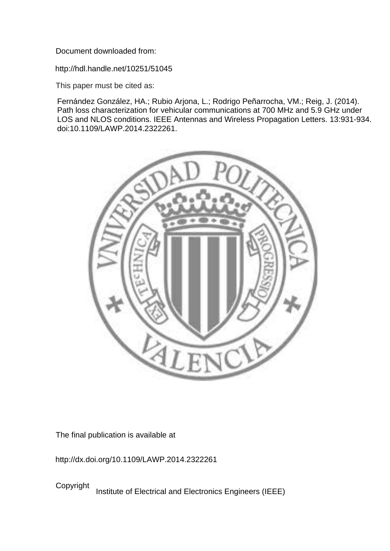Document downloaded from:

http://hdl.handle.net/10251/51045

This paper must be cited as:

Fernández González, HA.; Rubio Arjona, L.; Rodrigo Peñarrocha, VM.; Reig, J. (2014). Path loss characterization for vehicular communications at 700 MHz and 5.9 GHz under LOS and NLOS conditions. IEEE Antennas and Wireless Propagation Letters. 13:931-934. doi:10.1109/LAWP.2014.2322261.



The final publication is available at

http://dx.doi.org/10.1109/LAWP.2014.2322261

Copyright Institute of Electrical and Electronics Engineers (IEEE)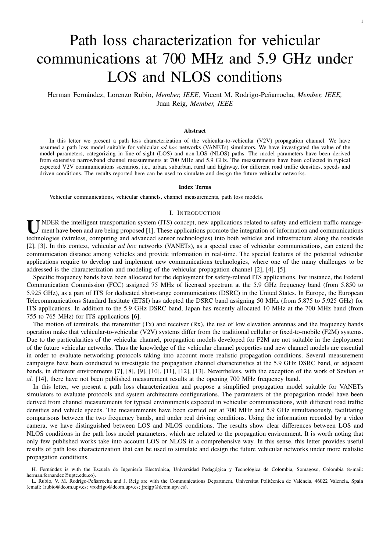# Path loss characterization for vehicular communications at 700 MHz and 5.9 GHz under LOS and NLOS conditions

1

Herman Fernández, Lorenzo Rubio, Member, IEEE, Vicent M. Rodrigo-Peñarrocha, Member, IEEE, Juan Reig, *Member, IEEE*

#### **Abstract**

In this letter we present a path loss characterization of the vehicular-to-vehicular (V2V) propagation channel. We have assumed a path loss model suitable for vehicular *ad hoc* networks (VANETs) simulators. We have investigated the value of the model parameters, categorizing in line-of-sight (LOS) and non-LOS (NLOS) paths. The model parameters have been derived from extensive narrowband channel measurements at 700 MHz and 5.9 GHz. The measurements have been collected in typical expected V2V communications scenarios, i.e., urban, suburban, rural and highway, for different road traffic densities, speeds and driven conditions. The results reported here can be used to simulate and design the future vehicular networks.

#### Index Terms

Vehicular communications, vehicular channels, channel measurements, path loss models.

# I. INTRODUCTION

UNDER the intelligent transportation system (ITS) concept, new applications related to safety and efficient traffic manage-<br>ment have been and are being proposed [1]. These applications promote the integration of informati ment have been and are being proposed [1]. These applications promote the integration of information and communications technologies (wireless, computing and advanced sensor technologies) into both vehicles and infrastructure along the roadside [2], [3]. In this context, vehicular *ad hoc* networks (VANETs), as a special case of vehicular communications, can extend the communication distance among vehicles and provide information in real-time. The special features of the potential vehicular applications require to develop and implement new communications technologies, where one of the many challenges to be addressed is the characterization and modeling of the vehicular propagation channel [2], [4], [5].

Specific frequency bands have been allocated for the deployment for safety-related ITS applications. For instance, the Federal Communication Commission (FCC) assigned 75 MHz of licensed spectrum at the 5.9 GHz frequency band (from 5.850 to 5.925 GHz), as a part of ITS for dedicated short-range communications (DSRC) in the United States. In Europe, the European Telecommunications Standard Institute (ETSI) has adopted the DSRC band assigning 50 MHz (from 5.875 to 5.925 GHz) for ITS applications. In addition to the 5.9 GHz DSRC band, Japan has recently allocated 10 MHz at the 700 MHz band (from 755 to 765 MHz) for ITS applications [6].

The motion of terminals, the transmitter  $(Tx)$  and receiver  $(Rx)$ , the use of low elevation antennas and the frequency bands operation make that vehicular-to-vehicular (V2V) systems differ from the traditional cellular or fixed-to-mobile (F2M) systems. Due to the particularities of the vehicular channel, propagation models developed for F2M are not suitable in the deployment of the future vehicular networks. Thus the knowledge of the vehicular channel properties and new channel models are essential in order to evaluate networking protocols taking into account more realistic propagation conditions. Several measurement campaigns have been conducted to investigate the propagation channel characteristics at the 5.9 GHz DSRC band, or adjacent bands, in different environments [7], [8], [9], [10], [11], [12], [13]. Nevertheless, with the exception of the work of Sevlian *et al.* [14], there have not been published measurement results at the opening 700 MHz frequency band.

In this letter, we present a path loss characterization and propose a simplified propagation model suitable for VANETs simulators to evaluate protocols and system architecture configurations. The parameters of the propagation model have been derived from channel measurements for typical environments expected in vehicular communications, with different road traffic densities and vehicle speeds. The measurements have been carried out at 700 MHz and 5.9 GHz simultaneously, facilitating comparisons between the two frequency bands, and under real driving conditions. Using the information recorded by a video camera, we have distinguished between LOS and NLOS conditions. The results show clear differences between LOS and NLOS conditions in the path loss model parameters, which are related to the propagation environment. It is worth noting that only few published works take into account LOS or NLOS in a comprehensive way. In this sense, this letter provides useful results of path loss characterization that can be used to simulate and design the future vehicular networks under more realistic propagation conditions.

H. Fernández is with the Escuela de Ingeniería Electrónica, Universidad Pedagógica y Tecnológica de Colombia, Somagoso, Colombia (e-mail: herman.fernandez@uptc.edu.co).

L. Rubio, V. M. Rodrigo-Peñarrocha and J. Reig are with the Communications Department, Universitat Politècnica de València, 46022 Valencia, Spain (email: lrubio@dcom.upv.es; vrodrigo@dcom.upv.es; jreigp@dcom.upv.es).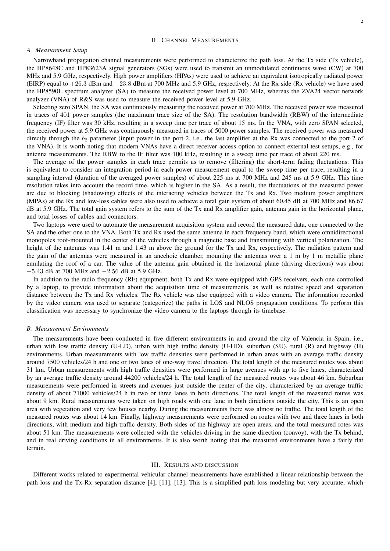## II. CHANNEL MEASUREMENTS

#### *A. Measurement Setup*

Narrowband propagation channel measurements were performed to characterize the path loss. At the Tx side (Tx vehicle), the HP8648C and HP83623A signal generators (SGs) were used to transmit an unmodulated continuous wave (CW) at 700 MHz and 5.9 GHz, respectively. High power amplifiers (HPAs) were used to achieve an equivalent isotropically radiated power (EIRP) equal to +26.3 dBm and +23.8 dBm at 700 MHz and 5.9 GHz, respectively. At the Rx side (Rx vehicle) we have used the HP8590L spectrum analyzer (SA) to measure the received power level at 700 MHz, whereas the ZVA24 vector network analyzer (VNA) of R&S was used to measure the received power level at 5.9 GHz.

Selecting zero SPAN, the SA was continuously measuring the received power at 700 MHz. The received power was measured in traces of 401 power samples (the maximum trace size of the SA). The resolution bandwidth (RBW) of the intermediate frequency (IF) filter was 30 kHz, resulting in a sweep time per trace of about 15 ms. In the VNA, with zero SPAN selected, the received power at 5.9 GHz was continuously measured in traces of 5000 power samples. The received power was measured directly through the  $b_2$  parameter (input power in the port 2, i.e., the last amplifier at the Rx was connected to the port 2 of the VNA). It is worth noting that modern VNAs have a direct receiver access option to connect external test setups, e.g., for antenna measurements. The RBW to the IF filter was 100 kHz, resulting in a sweep time per trace of about 220 ms.

The average of the power samples in each trace permits us to remove (filtering) the short-term fading fluctuations. This is equivalent to consider an integration period in each power measurement equal to the sweep time per trace, resulting in a sampling interval (duration of the averaged power samples) of about 225 ms at 700 MHz and 245 ms at 5.9 GHz. This time resolution takes into account the record time, which is higher in the SA. As a result, the fluctuations of the measured power are due to blocking (shadowing) effects of the interacting vehicles between the Tx and Rx. Two medium power amplifiers (MPAs) at the Rx and low-loss cables were also used to achieve a total gain system of about 60.45 dB at 700 MHz and 86.67 dB at 5.9 GHz. The total gain system refers to the sum of the Tx and Rx amplifier gain, antenna gain in the horizontal plane, and total losses of cables and connectors.

Two laptops were used to automate the measurement acquisition system and record the measured data, one connected to the SA and the other one to the VNA. Both Tx and Rx used the same antenna in each frequency band, which were omnidirectional monopoles roof-mounted in the center of the vehicles through a magnetic base and transmitting with vertical polarization. The height of the antennas was 1.41 m and 1.43 m above the ground for the Tx and Rx, respectively. The radiation pattern and the gain of the antennas were measured in an anechoic chamber, mounting the antennas over a 1 m by 1 m metallic plane emulating the roof of a car. The value of the antenna gain obtained in the horizontal plane (driving directions) was about −5.43 dB at 700 MHz and −2.56 dB at 5.9 GHz.

In addition to the radio frequency (RF) equipment, both Tx and Rx were equipped with GPS receivers, each one controlled by a laptop, to provide information about the acquisition time of measurements, as well as relative speed and separation distance between the Tx and Rx vehicles. The Rx vehicle was also equipped with a video camera. The information recorded by the video camera was used to separate (categorize) the paths in LOS and NLOS propagation conditions. To perform this classification was necessary to synchronize the video camera to the laptops through its timebase.

## *B. Measurement Environments*

The measurements have been conducted in five different environments in and around the city of Valencia in Spain, i.e., urban with low traffic density (U-LD), urban with high traffic density (U-HD), suburban (SU), rural (R) and highway (H) environments. Urban measurements with low traffic densities were performed in urban areas with an average traffic density around 7500 vehicles/24 h and one or two lanes of one-way travel direction. The total length of the measured routes was about 31 km. Urban measurements with high traffic densities were performed in large avenues with up to five lanes, characterized by an average traffic density around 44200 vehicles/24 h. The total length of the measured routes was about 46 km. Suburban measurements were performed in streets and avenues just outside the center of the city, characterized by an average traffic density of about 71000 vehicles/24 h in two or three lanes in both directions. The total length of the measured routes was about 9 km. Rural measurements were taken on high roads with one lane in both directions outside the city. This is an open area with vegetation and very few houses nearby. During the measurements there was almost no traffic. The total length of the measured routes was about 14 km. Finally, highway measurements were performed on routes with two and three lanes in both directions, with medium and high traffic density. Both sides of the highway are open areas, and the total measured rotes was about 51 km. The measurements were collected with the vehicles driving in the same direction (convoy), with the Tx behind, and in real driving conditions in all environments. It is also worth noting that the measured environments have a fairly flat terrain.

#### III. RESULTS AND DISCUSSION

Different works related to experimental vehicular channel measurements have established a linear relationship between the path loss and the Tx-Rx separation distance [4], [11], [13]. This is a simplified path loss modeling but very accurate, which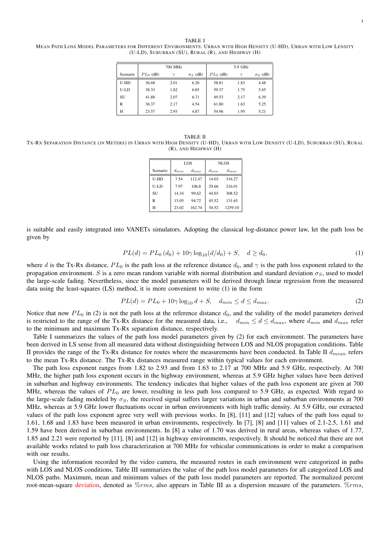TABLE I MEAN PATH LOSS MODEL PARAMETERS FOR DIFFERENT ENVIRONMENTS: URBAN WITH HIGH HENSITY (U-HD), URBAN WITH LOW LENSITY (U-LD), SUBURBAN (SU), RURAL (R), AND HIGHWAY (H)

|          |             | 700 MHz |                            | 5.9 GHz     |        |                            |  |  |
|----------|-------------|---------|----------------------------|-------------|--------|----------------------------|--|--|
| Scenario | $PL_0$ (dB) | $\sim$  | $\sigma$ <sub>S</sub> (dB) | $PL_0$ (dB) | $\sim$ | $\sigma$ <sub>S</sub> (dB) |  |  |
| U-HD     | 36.68       | 2.01    | 6.26                       | 58.81       | 1.83   | 4.48                       |  |  |
| U-LD     | 38.33       | 1.82    | 6.85                       | 59.37       | 1.75   | 5.45                       |  |  |
| SU       | 41.88       | 2.07    | 6.71                       | 49.53       | 2.17   | 6.39                       |  |  |
| R        | 36.37       | 2.17    | 4.54                       | 61.80       | 1.63   | 5.25                       |  |  |
| н        | 23.57       | 2.93    | 4.87                       | 54.96       | 1.95   | 5.21                       |  |  |

TABLE II TX-RX SEPARATION DISTANCE (IN METERS) IN URBAN WITH HIGH DENSITY (U-HD), URBAN WITH LOW DENSITY (U-LD), SUBURBAN (SU), RURAL (R), AND HIGHWAY (H)

|           |           | LOS       | NLOS      |           |  |  |  |
|-----------|-----------|-----------|-----------|-----------|--|--|--|
| Scenario  | $d_{min}$ | $d_{max}$ | $d_{min}$ | $d_{max}$ |  |  |  |
| U-HD      | 7.54      | 112.47    | 14.03     | 316.27    |  |  |  |
| U-LD      | 7.97      | 106.8     | 29.66     | 216.01    |  |  |  |
| <b>SU</b> | 14.34     | 99.62     | 44.03     | 308.52    |  |  |  |
| R         | 13.05     | 94.72     | 45.52     | 131.65    |  |  |  |
| H         | 23.02     | 162.74    | 54.52     | 1259.10   |  |  |  |

is suitable and easily integrated into VANETs simulators. Adopting the classical log-distance power law, let the path loss be given by

$$
PL(d) = PL_0(d_0) + 10\gamma \log_{10}(d/d_0) + S, \quad d \ge d_0,
$$
\n(1)

where d is the Tx-Rx distance,  $PL_0$  is the path loss at the reference distance  $d_0$ , and  $\gamma$  is the path loss exponent related to the propagation environment. S is a zero mean random variable with normal distribution and standard deviation  $\sigma_S$ , used to model the large-scale fading. Nevertheless, since the model parameters will be derived through linear regression from the measured data using the least-squares (LS) method, it is more convenient to write (1) in the form

$$
PL(d) = PL_0 + 10\gamma \log_{10} d + S, \quad d_{min} \le d \le d_{max}.
$$
 (2)

Notice that now  $PL_0$  in (2) is not the path loss at the reference distance  $d_0$ , and the validity of the model parameters derived is restricted to the range of the Tx-Rx distance for the measured data, i.e.,  $d_{min} \leq d \leq d_{max}$ , where  $d_{min}$  and  $d_{max}$  refer to the minimum and maximum Tx-Rx separation distance, respectively.

Table I summarizes the values of the path loss model parameters given by (2) for each environment. The parameters have been derived in LS sense from all measured data without distinguishing between LOS and NLOS propagation conditions. Table II provides the range of the Tx-Rx distance for routes where the measurements have been conducted. In Table II  $d_{mean}$  refers to the mean Tx-Rx distance. The Tx-Rx distances measured range within typical values for each environment.

The path loss exponent ranges from 1.82 to 2.93 and from 1.63 to 2.17 at 700 MHz and 5.9 GHz, respectively. At 700 MHz, the higher path loss exponent occurs in the highway environment, whereas at 5.9 GHz higher values have been derived in suburban and highway environments. The tendency indicates that higher values of the path loss exponent are given at 700 MHz, whereas the values of  $PL_0$  are lower, resulting in less path loss compared to 5.9 GHz, as expected. With regard to the large-scale fading modeled by  $\sigma_S$ , the received signal suffers larger variations in urban and suburban environments at 700 MHz, whereas at 5.9 GHz lower fluctuations occur in urban environments with high traffic density. At 5.9 GHz, our extracted values of the path loss exponent agree very well with previous works. In [8], [11] and [12] values of the path loss equal to 1.61, 1.68 and 1.83 have been measured in urban environments, respectively. In [7], [8] and [11] values of 2.1-2.5, 1.61 and 1.59 have been derived in suburban environments. In [8] a value of 1.70 was derived in rural areas, whereas values of 1.77, 1.85 and 2.21 were reported by [11], [8] and [12] in highway environments, respectively. It should be noticed that there are not available works related to path loss characterization at 700 MHz for vehicular communications in order to make a comparison with our results.

Using the information recorded by the video camera, the measured routes in each environment were categorized in paths with LOS and NLOS conditions. Table III summarizes the value of the path loss model parameters for all categorized LOS and NLOS paths. Maximum, mean and minimum values of the path loss model parameters are reported. The normalized percent root-mean-square deviation, denoted as  $\%rms$ , also appears in Table III as a dispersion measure of the parameters.  $\%rms$ ,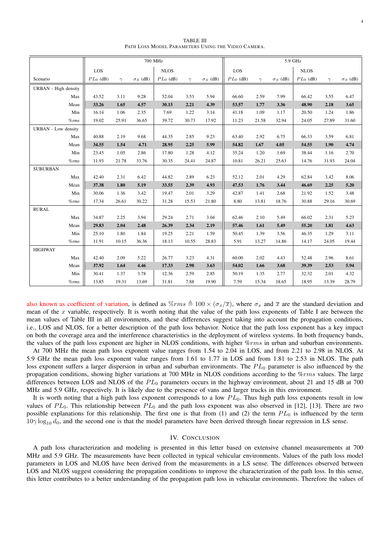|                            |          | 700 MHz     |          |                 |             |          |                 | 5.9 GHz     |          |                 |             |          |                 |  |
|----------------------------|----------|-------------|----------|-----------------|-------------|----------|-----------------|-------------|----------|-----------------|-------------|----------|-----------------|--|
|                            |          | LOS         |          |                 | <b>NLOS</b> |          |                 | LOS         |          |                 | <b>NLOS</b> |          |                 |  |
| Scenario                   |          | $PL_0$ (dB) | $\gamma$ | $\sigma_S$ (dB) | $PL_0$ (dB) | $\gamma$ | $\sigma_S$ (dB) | $PL_0$ (dB) | $\gamma$ | $\sigma_S$ (dB) | $PL_0$ (dB) | $\gamma$ | $\sigma_S$ (dB) |  |
| URBAN - High density       |          |             |          |                 |             |          |                 |             |          |                 |             |          |                 |  |
|                            | Max      | 43.52       | 3.11     | 9.28            | 52.04       | 3.53     | 5.94            | 66.60       | 2.59     | 7.99            | 66.42       | 3.55     | 6.47            |  |
|                            | Mean     | 33.26       | 1.65     | 4.57            | 30.15       | 2.21     | 4.39            | 53.57       | 1.77     | 3.36            | 48.90       | 2.18     | 3.65            |  |
|                            | Min      | 16.14       | 1.06     | 2.35            | 7.69        | 1.22     | 3.14            | 41.18       | 1.09     | 1.17            | 20.50       | 1.24     | 1.86            |  |
|                            | $\%rms$  | 19.02       | 25.91    | 36.65           | 39.72       | 30.73    | 17.92           | 11.23       | 21.58    | 32.94           | 24.05       | 27.89    | 31.60           |  |
| <b>URBAN</b> - Low density |          |             |          |                 |             |          |                 |             |          |                 |             |          |                 |  |
|                            | Max      | 40.88       | 2.19     | 9.68            | 44.35       | 2.85     | 9.23            | 63.40       | 2.92     | 6.75            | 66.33       | 3.59     | 6.81            |  |
|                            | Mean     | 34.55       | 1.54     | 4.71            | 28.95       | 2.25     | 5.99            | 54.82       | 1.67     | 4.05            | 54.55       | 1.90     | 4.74            |  |
|                            | Min      | 23.45       | 1.05     | 2.86            | 17.80       | 1.28     | 4.12            | 35.24       | 1.20     | 1.69            | 38.44       | 1.16     | 2.70            |  |
|                            | $\%$ rms | 11.93       | 21.78    | 33.76           | 30.35       | 24.41    | 24.87           | 10.81       | 26.21    | 25.63           | 14.76       | 31.93    | 24.04           |  |
| <b>SUBURBAN</b>            |          |             |          |                 |             |          |                 |             |          |                 |             |          |                 |  |
|                            | Max      | 42.40       | 2.31     | 6.42            | 44.82       | 2.89     | 6.23            | 52.12       | 2.01     | 4.29            | 62.84       | 3.42     | 8.06            |  |
|                            | Mean     | 37.38       | 1.80     | 5.19            | 33.55       | 2.39     | 4.93            | 47.53       | 1.76     | 3.44            | 46.69       | 2.25     | 5.20            |  |
|                            | Min      | 30.06       | 1.36     | 3.42            | 19.47       | 2.01     | 3.29            | 42.87       | 1.41     | 2.68            | 21.92       | 1.52     | 3.48            |  |
|                            | $\%rms$  | 17.34       | 26.61    | 30.22           | 31.28       | 15.53    | 21.80           | 8.80        | 13.81    | 18.76           | 30.88       | 29.16    | 30.69           |  |
| <b>RURAL</b>               |          |             |          |                 |             |          |                 |             |          |                 |             |          |                 |  |
|                            | Max      | 34.87       | 2.25     | 3.94            | 29.24       | 2.71     | 3.04            | 62.46       | 2.10     | 5.49            | 66.02       | 2.31     | 5.23            |  |
|                            | Mean     | 29.83       | 2.04     | 2.48            | 26.39       | 2.34     | 2.19            | 57.46       | 1.61     | 5.49            | 55.20       | 1.81     | 4.63            |  |
|                            | Min      | 25.10       | 1.80     | 1.84            | 19.25       | 2.21     | 1.59            | 50.45       | 1.39     | 3.56            | 46.35       | 1.29     | 3.11            |  |
|                            | $\%rms$  | 11.91       | 10.15    | 36.36           | 18.13       | 10.55    | 28.83           | 5.91        | 13.27    | 14.86           | 14.17       | 24.05    | 19.44           |  |
| <b>HIGHWAY</b>             |          |             |          |                 |             |          |                 |             |          |                 |             |          |                 |  |
|                            | Max      | 42.40       | 2.09     | 5.22            | 26.77       | 3.23     | 4.31            | 60.00       | 2.02     | 4.43            | 52.48       | 2.96     | 8.61            |  |
|                            | Mean     | 37.92       | 1.64     | 4.46            | 17.33       | 2.98     | 3.63            | 54.02       | 1.66     | 3.68            | 39.39       | 2.53     | 5.94            |  |
|                            | Min      | 30.41       | 1.37     | 3.78            | 12.36       | 2.59     | 2.85            | 50.19       | 1.35     | 2.77            | 32.32       | 2.01     | 4.32            |  |
|                            | $\%rms$  | 13.85       | 19.31    | 13.69           | 31.81       | 7.88     | 19.90           | 7.59        | 15.34    | 18.65           | 18.95       | 13.39    | 28.79           |  |

TABLE III PATH LOSS MODEL PARAMETERS USING THE VIDEO CAMERA.

also known as coefficient of variation, is defined as  $\%rms \triangleq 100 \times (\sigma_x/\overline{x})$ , where  $\sigma_x$  and  $\overline{x}$  are the standard deviation and mean of the x variable, respectively. It is worth noting that the value of the path loss exponents of Table I are between the mean values of Table III in all environments, and these differences suggest taking into account the propagation conditions, i.e., LOS and NLOS, for a better description of the path loss behavior. Notice that the path loss exponent has a key impact on both the coverage area and the interference characteristics in the deployment of wireless systems. In both frequency bands, the values of the path loss exponent are higher in NLOS conditions, with higher  $\%rms$  in urban and suburban environments.

At 700 MHz the mean path loss exponent value ranges from 1.54 to 2.04 in LOS, and from 2.21 to 2.98 in NLOS. At 5.9 GHz the mean path loss exponent value ranges from 1.61 to 1.77 in LOS and from 1.81 to 2.53 in NLOS. The path loss exponent suffers a larger dispersion in urban and suburban environments. The  $PL_0$  parameter is also influenced by the propagation conditions, showing higher variations at 700 MHz in NLOS conditions according to the %rms values. The large differences between LOS and NLOS of the  $PL_0$  parameters occurs in the highway environment, about 21 and 15 dB at 700 MHz and 5.9 GHz, respectively. It is likely due to the presence of vans and larger trucks in this environment.

It is worth noting that a high path loss exponent corresponds to a low  $PL_0$ . Thus high path loss exponents result in low values of  $PL_0$ . This relationship between  $PL_0$  and the path loss exponent was also observed in [12], [13]. There are two possible explanations for this relationship. The first one is that from  $(1)$  and  $(2)$  the term  $PL_0$  is influenced by the term  $10\gamma \log_{10} d_0$ , and the second one is that the model parameters have been derived through linear regression in LS sense.

### IV. CONCLUSION

A path loss characterization and modeling is presented in this letter based on extensive channel measurements at 700 MHz and 5.9 GHz. The measurements have been collected in typical vehicular environments. Values of the path loss model parameters in LOS and NLOS have been derived from the measurements in a LS sense. The differences observed between LOS and NLOS suggest considering the propagation conditions to improve the characterization of the path loss. In this sense, this letter contributes to a better understanding of the propagation path loss in vehicular environments. Therefore the values of